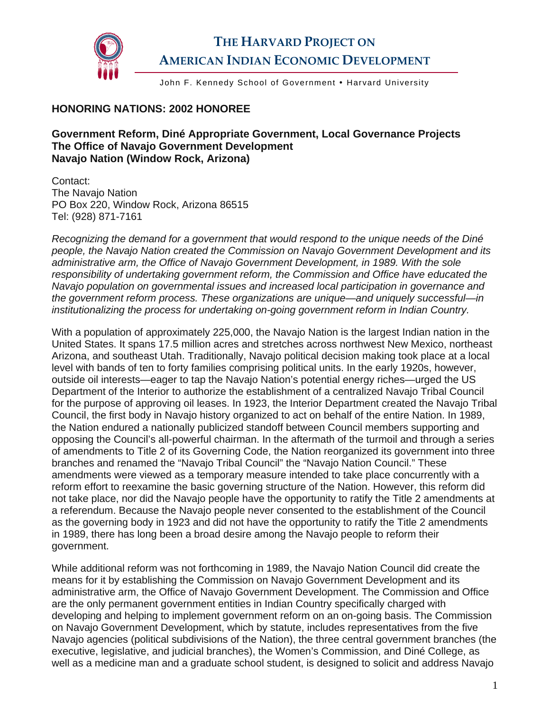

## **THE HARVARD PROJECT ON AMERICAN INDIAN ECONOMIC DEVELOPMENT**

John F. Kennedy School of Government . Harvard University

## **HONORING NATIONS: 2002 HONOREE**

**Government Reform, Diné Appropriate Government, Local Governance Projects The Office of Navajo Government Development Navajo Nation (Window Rock, Arizona)** 

Contact: The Navajo Nation PO Box 220, Window Rock, Arizona 86515 Tel: (928) 871-7161

*Recognizing the demand for a government that would respond to the unique needs of the Diné people, the Navajo Nation created the Commission on Navajo Government Development and its administrative arm, the Office of Navajo Government Development, in 1989. With the sole responsibility of undertaking government reform, the Commission and Office have educated the Navajo population on governmental issues and increased local participation in governance and the government reform process. These organizations are unique—and uniquely successful—in institutionalizing the process for undertaking on-going government reform in Indian Country.* 

With a population of approximately 225,000, the Navajo Nation is the largest Indian nation in the United States. It spans 17.5 million acres and stretches across northwest New Mexico, northeast Arizona, and southeast Utah. Traditionally, Navajo political decision making took place at a local level with bands of ten to forty families comprising political units. In the early 1920s, however, outside oil interests—eager to tap the Navajo Nation's potential energy riches—urged the US Department of the Interior to authorize the establishment of a centralized Navajo Tribal Council for the purpose of approving oil leases. In 1923, the Interior Department created the Navajo Tribal Council, the first body in Navajo history organized to act on behalf of the entire Nation. In 1989, the Nation endured a nationally publicized standoff between Council members supporting and opposing the Council's all-powerful chairman. In the aftermath of the turmoil and through a series of amendments to Title 2 of its Governing Code, the Nation reorganized its government into three branches and renamed the "Navajo Tribal Council" the "Navajo Nation Council." These amendments were viewed as a temporary measure intended to take place concurrently with a reform effort to reexamine the basic governing structure of the Nation. However, this reform did not take place, nor did the Navajo people have the opportunity to ratify the Title 2 amendments at a referendum. Because the Navajo people never consented to the establishment of the Council as the governing body in 1923 and did not have the opportunity to ratify the Title 2 amendments in 1989, there has long been a broad desire among the Navajo people to reform their government.

While additional reform was not forthcoming in 1989, the Navajo Nation Council did create the means for it by establishing the Commission on Navajo Government Development and its administrative arm, the Office of Navajo Government Development. The Commission and Office are the only permanent government entities in Indian Country specifically charged with developing and helping to implement government reform on an on-going basis. The Commission on Navajo Government Development, which by statute, includes representatives from the five Navajo agencies (political subdivisions of the Nation), the three central government branches (the executive, legislative, and judicial branches), the Women's Commission, and Diné College, as well as a medicine man and a graduate school student, is designed to solicit and address Navajo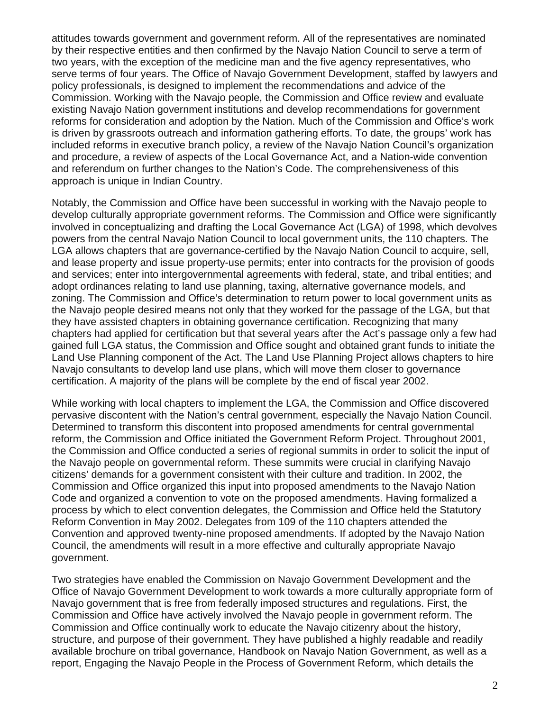attitudes towards government and government reform. All of the representatives are nominated by their respective entities and then confirmed by the Navajo Nation Council to serve a term of two years, with the exception of the medicine man and the five agency representatives, who serve terms of four years. The Office of Navajo Government Development, staffed by lawyers and policy professionals, is designed to implement the recommendations and advice of the Commission. Working with the Navajo people, the Commission and Office review and evaluate existing Navajo Nation government institutions and develop recommendations for government reforms for consideration and adoption by the Nation. Much of the Commission and Office's work is driven by grassroots outreach and information gathering efforts. To date, the groups' work has included reforms in executive branch policy, a review of the Navajo Nation Council's organization and procedure, a review of aspects of the Local Governance Act, and a Nation-wide convention and referendum on further changes to the Nation's Code. The comprehensiveness of this approach is unique in Indian Country.

Notably, the Commission and Office have been successful in working with the Navajo people to develop culturally appropriate government reforms. The Commission and Office were significantly involved in conceptualizing and drafting the Local Governance Act (LGA) of 1998, which devolves powers from the central Navajo Nation Council to local government units, the 110 chapters. The LGA allows chapters that are governance-certified by the Navajo Nation Council to acquire, sell, and lease property and issue property-use permits; enter into contracts for the provision of goods and services; enter into intergovernmental agreements with federal, state, and tribal entities; and adopt ordinances relating to land use planning, taxing, alternative governance models, and zoning. The Commission and Office's determination to return power to local government units as the Navajo people desired means not only that they worked for the passage of the LGA, but that they have assisted chapters in obtaining governance certification. Recognizing that many chapters had applied for certification but that several years after the Act's passage only a few had gained full LGA status, the Commission and Office sought and obtained grant funds to initiate the Land Use Planning component of the Act. The Land Use Planning Project allows chapters to hire Navajo consultants to develop land use plans, which will move them closer to governance certification. A majority of the plans will be complete by the end of fiscal year 2002.

While working with local chapters to implement the LGA, the Commission and Office discovered pervasive discontent with the Nation's central government, especially the Navajo Nation Council. Determined to transform this discontent into proposed amendments for central governmental reform, the Commission and Office initiated the Government Reform Project. Throughout 2001, the Commission and Office conducted a series of regional summits in order to solicit the input of the Navajo people on governmental reform. These summits were crucial in clarifying Navajo citizens' demands for a government consistent with their culture and tradition. In 2002, the Commission and Office organized this input into proposed amendments to the Navajo Nation Code and organized a convention to vote on the proposed amendments. Having formalized a process by which to elect convention delegates, the Commission and Office held the Statutory Reform Convention in May 2002. Delegates from 109 of the 110 chapters attended the Convention and approved twenty-nine proposed amendments. If adopted by the Navajo Nation Council, the amendments will result in a more effective and culturally appropriate Navajo government.

Two strategies have enabled the Commission on Navajo Government Development and the Office of Navajo Government Development to work towards a more culturally appropriate form of Navajo government that is free from federally imposed structures and regulations. First, the Commission and Office have actively involved the Navajo people in government reform. The Commission and Office continually work to educate the Navajo citizenry about the history, structure, and purpose of their government. They have published a highly readable and readily available brochure on tribal governance, Handbook on Navajo Nation Government, as well as a report, Engaging the Navajo People in the Process of Government Reform, which details the